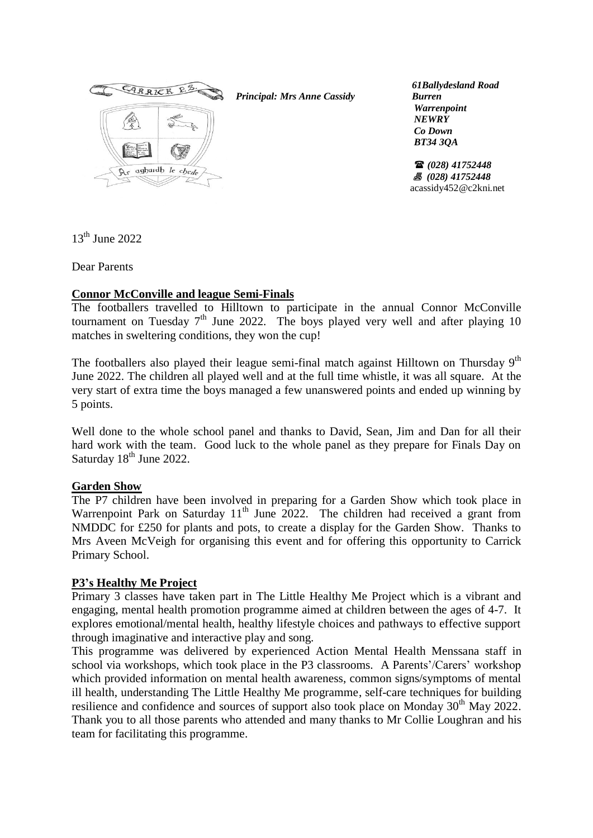

*Principal: Mrs Anne Cassidy*

 *61Ballydesland Road Burren Warrenpoint NEWRY Co Down BT34 3QA*

 *(028) 41752448 (028) 41752448* acassidy452@c2kni.net

 $13<sup>th</sup>$  June 2022

Dear Parents

## **Connor McConville and league Semi-Finals**

The footballers travelled to Hilltown to participate in the annual Connor McConville tournament on Tuesday  $7<sup>th</sup>$  June 2022. The boys played very well and after playing 10 matches in sweltering conditions, they won the cup!

The footballers also played their league semi-final match against Hilltown on Thursday  $9<sup>th</sup>$ June 2022. The children all played well and at the full time whistle, it was all square. At the very start of extra time the boys managed a few unanswered points and ended up winning by 5 points.

Well done to the whole school panel and thanks to David, Sean, Jim and Dan for all their hard work with the team. Good luck to the whole panel as they prepare for Finals Day on Saturday  $18<sup>th</sup>$  June 2022.

## **Garden Show**

The P7 children have been involved in preparing for a Garden Show which took place in Warrenpoint Park on Saturday  $11<sup>th</sup>$  June 2022. The children had received a grant from NMDDC for £250 for plants and pots, to create a display for the Garden Show. Thanks to Mrs Aveen McVeigh for organising this event and for offering this opportunity to Carrick Primary School.

## **P3's Healthy Me Project**

Primary 3 classes have taken part in The Little Healthy Me Project which is a vibrant and engaging, mental health promotion programme aimed at children between the ages of 4-7. It explores emotional/mental health, healthy lifestyle choices and pathways to effective support through imaginative and interactive play and song.

This programme was delivered by experienced Action Mental Health Menssana staff in school via workshops, which took place in the P3 classrooms. A Parents'/Carers' workshop which provided information on mental health awareness, common signs/symptoms of mental ill health, understanding The Little Healthy Me programme, self-care techniques for building resilience and confidence and sources of support also took place on Monday  $30<sup>th</sup>$  May 2022. Thank you to all those parents who attended and many thanks to Mr Collie Loughran and his team for facilitating this programme.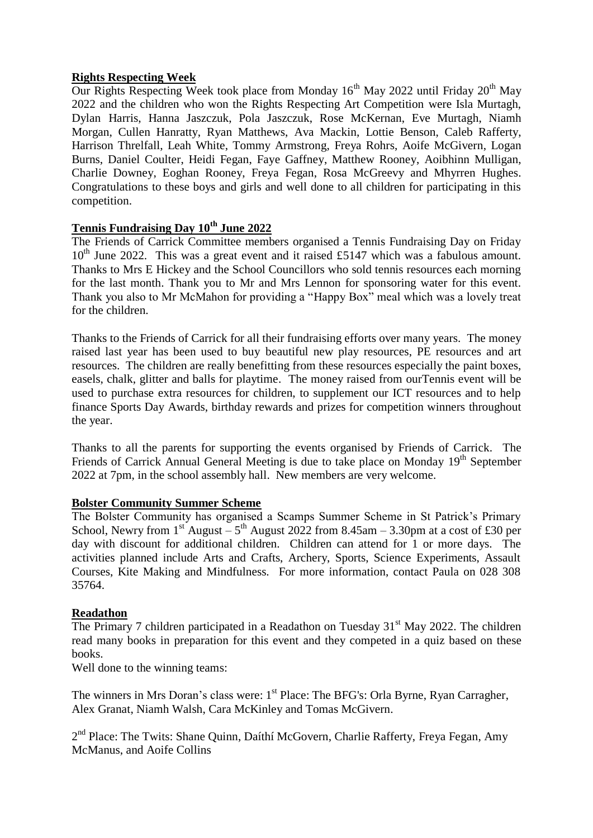## **Rights Respecting Week**

Our Rights Respecting Week took place from Monday  $16<sup>th</sup>$  May 2022 until Friday  $20<sup>th</sup>$  May 2022 and the children who won the Rights Respecting Art Competition were Isla Murtagh, Dylan Harris, Hanna Jaszczuk, Pola Jaszczuk, Rose McKernan, Eve Murtagh, Niamh Morgan, Cullen Hanratty, Ryan Matthews, Ava Mackin, Lottie Benson, Caleb Rafferty, Harrison Threlfall, Leah White, Tommy Armstrong, Freya Rohrs, Aoife McGivern, Logan Burns, Daniel Coulter, Heidi Fegan, Faye Gaffney, Matthew Rooney, Aoibhinn Mulligan, Charlie Downey, Eoghan Rooney, Freya Fegan, Rosa McGreevy and Mhyrren Hughes. Congratulations to these boys and girls and well done to all children for participating in this competition.

## **Tennis Fundraising Day 10th June 2022**

The Friends of Carrick Committee members organised a Tennis Fundraising Day on Friday  $10^{th}$  June 2022. This was a great event and it raised £5147 which was a fabulous amount. Thanks to Mrs E Hickey and the School Councillors who sold tennis resources each morning for the last month. Thank you to Mr and Mrs Lennon for sponsoring water for this event. Thank you also to Mr McMahon for providing a "Happy Box" meal which was a lovely treat for the children.

Thanks to the Friends of Carrick for all their fundraising efforts over many years. The money raised last year has been used to buy beautiful new play resources, PE resources and art resources. The children are really benefitting from these resources especially the paint boxes, easels, chalk, glitter and balls for playtime. The money raised from ourTennis event will be used to purchase extra resources for children, to supplement our ICT resources and to help finance Sports Day Awards, birthday rewards and prizes for competition winners throughout the year.

Thanks to all the parents for supporting the events organised by Friends of Carrick. The Friends of Carrick Annual General Meeting is due to take place on Monday 19<sup>th</sup> September 2022 at 7pm, in the school assembly hall. New members are very welcome.

## **Bolster Community Summer Scheme**

The Bolster Community has organised a Scamps Summer Scheme in St Patrick's Primary School, Newry from  $1^{st}$  August  $-5^{th}$  August 2022 from 8.45am  $-$  3.30pm at a cost of £30 per day with discount for additional children. Children can attend for 1 or more days. The activities planned include Arts and Crafts, Archery, Sports, Science Experiments, Assault Courses, Kite Making and Mindfulness. For more information, contact Paula on 028 308 35764.

## **Readathon**

The Primary 7 children participated in a Readathon on Tuesday  $31<sup>st</sup>$  May 2022. The children read many books in preparation for this event and they competed in a quiz based on these books.

Well done to the winning teams:

The winners in Mrs Doran's class were: 1<sup>st</sup> Place: The BFG's: Orla Byrne, Ryan Carragher, Alex Granat, Niamh Walsh, Cara McKinley and Tomas McGivern.

2<sup>nd</sup> Place: The Twits: Shane Quinn, Daíthí McGovern, Charlie Rafferty, Freya Fegan, Amy McManus, and Aoife Collins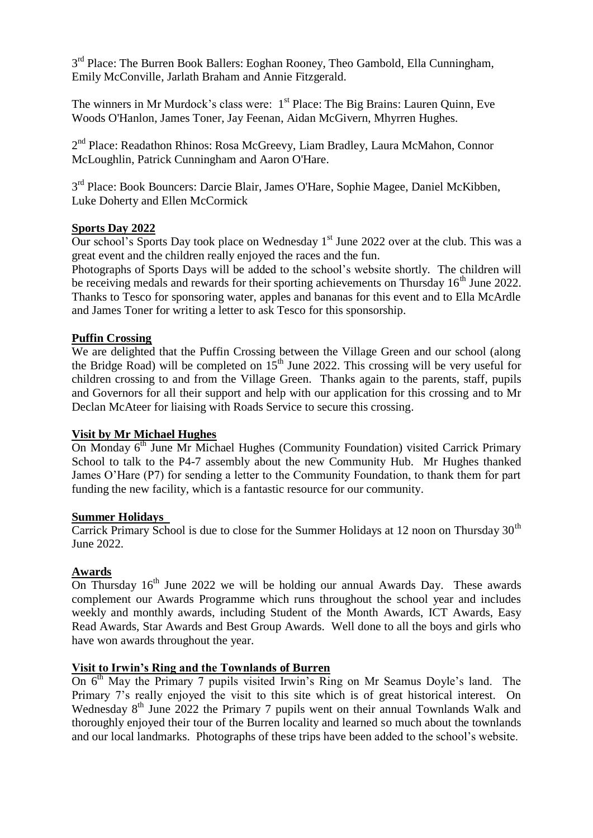3<sup>rd</sup> Place: The Burren Book Ballers: Eoghan Rooney, Theo Gambold, Ella Cunningham, Emily McConville, Jarlath Braham and Annie Fitzgerald.

The winners in Mr Murdock's class were: 1<sup>st</sup> Place: The Big Brains: Lauren Quinn, Eve Woods O'Hanlon, James Toner, Jay Feenan, Aidan McGivern, Mhyrren Hughes.

2<sup>nd</sup> Place: Readathon Rhinos: Rosa McGreevy, Liam Bradley, Laura McMahon, Connor McLoughlin, Patrick Cunningham and Aaron O'Hare.

3<sup>rd</sup> Place: Book Bouncers: Darcie Blair, James O'Hare, Sophie Magee, Daniel McKibben, Luke Doherty and Ellen McCormick

## **Sports Day 2022**

Our school's Sports Day took place on Wednesday  $1<sup>st</sup>$  June 2022 over at the club. This was a great event and the children really enjoyed the races and the fun.

Photographs of Sports Days will be added to the school's website shortly. The children will be receiving medals and rewards for their sporting achievements on Thursday  $16<sup>th</sup>$  June 2022. Thanks to Tesco for sponsoring water, apples and bananas for this event and to Ella McArdle and James Toner for writing a letter to ask Tesco for this sponsorship.

## **Puffin Crossing**

We are delighted that the Puffin Crossing between the Village Green and our school (along the Bridge Road) will be completed on  $15<sup>th</sup>$  June 2022. This crossing will be very useful for children crossing to and from the Village Green. Thanks again to the parents, staff, pupils and Governors for all their support and help with our application for this crossing and to Mr Declan McAteer for liaising with Roads Service to secure this crossing.

## **Visit by Mr Michael Hughes**

On Monday 6<sup>th</sup> June Mr Michael Hughes (Community Foundation) visited Carrick Primary School to talk to the P4-7 assembly about the new Community Hub. Mr Hughes thanked James O'Hare (P7) for sending a letter to the Community Foundation, to thank them for part funding the new facility, which is a fantastic resource for our community.

## **Summer Holidays**

Carrick Primary School is due to close for the Summer Holidays at 12 noon on Thursday  $30<sup>th</sup>$ June 2022.

## **Awards**

On Thursday  $16<sup>th</sup>$  June 2022 we will be holding our annual Awards Day. These awards complement our Awards Programme which runs throughout the school year and includes weekly and monthly awards, including Student of the Month Awards, ICT Awards, Easy Read Awards, Star Awards and Best Group Awards. Well done to all the boys and girls who have won awards throughout the year.

# **Visit to Irwin's Ring and the Townlands of Burren**

On 6<sup>th</sup> May the Primary 7 pupils visited Irwin's Ring on Mr Seamus Doyle's land. The Primary 7's really enjoyed the visit to this site which is of great historical interest. On Wednesday  $8<sup>th</sup>$  June 2022 the Primary 7 pupils went on their annual Townlands Walk and thoroughly enjoyed their tour of the Burren locality and learned so much about the townlands and our local landmarks. Photographs of these trips have been added to the school's website.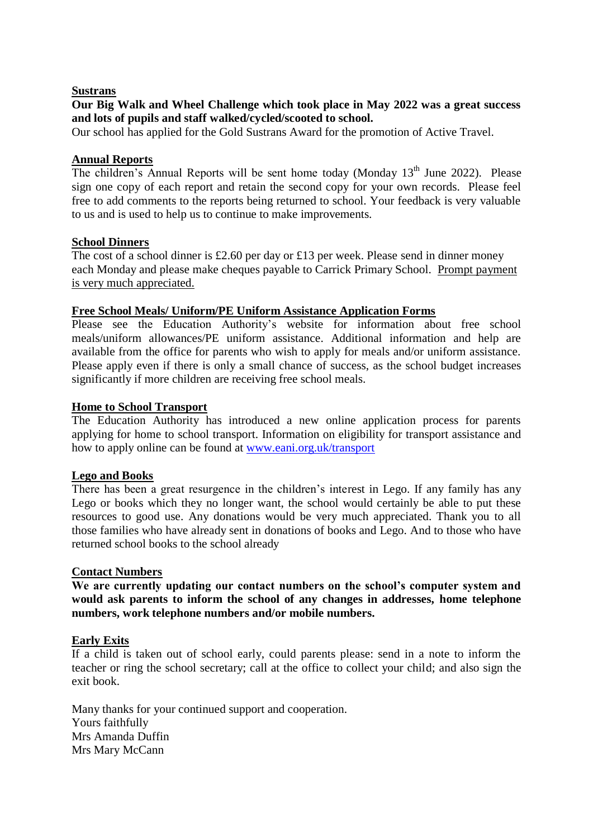### **Sustrans**

## **Our Big Walk and Wheel Challenge which took place in May 2022 was a great success and lots of pupils and staff walked/cycled/scooted to school.**

Our school has applied for the Gold Sustrans Award for the promotion of Active Travel.

## **Annual Reports**

The children's Annual Reports will be sent home today (Monday 13<sup>th</sup> June 2022). Please sign one copy of each report and retain the second copy for your own records. Please feel free to add comments to the reports being returned to school. Your feedback is very valuable to us and is used to help us to continue to make improvements.

## **School Dinners**

The cost of a school dinner is £2.60 per day or £13 per week. Please send in dinner money each Monday and please make cheques payable to Carrick Primary School. Prompt payment is very much appreciated.

## **Free School Meals/ Uniform/PE Uniform Assistance Application Forms**

Please see the Education Authority's website for information about free school meals/uniform allowances/PE uniform assistance. Additional information and help are available from the office for parents who wish to apply for meals and/or uniform assistance. Please apply even if there is only a small chance of success, as the school budget increases significantly if more children are receiving free school meals.

## **Home to School Transport**

The Education Authority has introduced a new online application process for parents applying for home to school transport. Information on eligibility for transport assistance and how to apply online can be found at [www.eani.org.uk/transport](http://www.eani.org.uk/transport)

## **Lego and Books**

There has been a great resurgence in the children's interest in Lego. If any family has any Lego or books which they no longer want, the school would certainly be able to put these resources to good use. Any donations would be very much appreciated. Thank you to all those families who have already sent in donations of books and Lego. And to those who have returned school books to the school already

## **Contact Numbers**

**We are currently updating our contact numbers on the school's computer system and would ask parents to inform the school of any changes in addresses, home telephone numbers, work telephone numbers and/or mobile numbers.**

## **Early Exits**

If a child is taken out of school early, could parents please: send in a note to inform the teacher or ring the school secretary; call at the office to collect your child; and also sign the exit book.

Many thanks for your continued support and cooperation. Yours faithfully Mrs Amanda Duffin Mrs Mary McCann